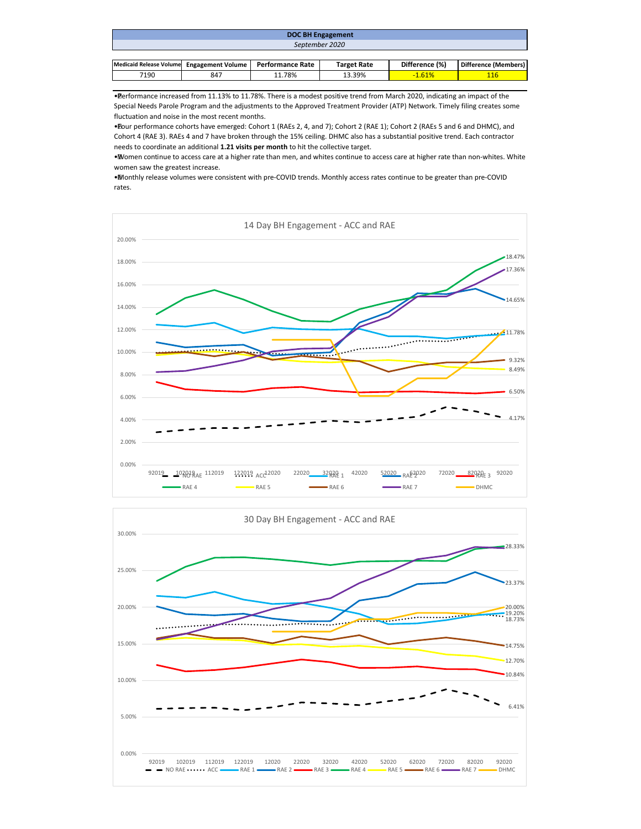| <b>DOC BH Engagement</b>                  |     |                         |                    |                |                      |  |  |  |  |
|-------------------------------------------|-----|-------------------------|--------------------|----------------|----------------------|--|--|--|--|
| September 2020                            |     |                         |                    |                |                      |  |  |  |  |
|                                           |     |                         |                    |                |                      |  |  |  |  |
| Medicaid Release Volume Engagement Volume |     | <b>Performance Rate</b> | <b>Target Rate</b> | Difference (%) | Difference (Members) |  |  |  |  |
| 7190                                      | 847 | 11.78%                  | 13.39%             | $-1.61%$       | 116                  |  |  |  |  |

• Performance increased from 11.13% to 11.78%. There is a modest positive trend from March 2020, indicating an impact of the Special Needs Parole Program and the adjustments to the Approved Treatment Provider (ATP) Network. Timely filing creates some fluctuation and noise in the most recent months.

• Four performance cohorts have emerged: Cohort 1 (RAEs 2, 4, and 7); Cohort 2 (RAE 1); Cohort 2 (RAEs 5 and 6 and DHMC), and Cohort 4 (RAE 3). RAEs 4 and 7 have broken through the 15% ceiling. DHMC also has a substantial positive trend. Each contractor needs to coordinate an additional **1.21 visits per month** to hit the collective target.

• Women continue to access care at a higher rate than men, and whites continue to access care at higher rate than non-whites. White women saw the greatest increase.

• Monthly release volumes were consistent with pre-COVID trends. Monthly access rates continue to be greater than pre-COVID rates.